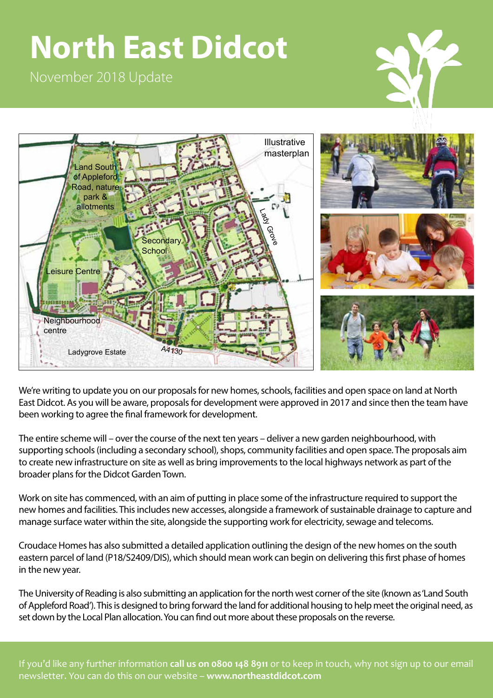# **North East Didcot**

November 2018 Update





We're writing to update you on our proposals for new homes, schools, facilities and open space on land at North East Didcot. As you will be aware, proposals for development were approved in 2017 and since then the team have been working to agree the final framework for development.

The entire scheme will – over the course of the next ten years – deliver a new garden neighbourhood, with supporting schools (including a secondary school), shops, community facilities and open space. The proposals aim to create new infrastructure on site as well as bring improvements to the local highways network as part of the broader plans for the Didcot Garden Town.

Work on site has commenced, with an aim of putting in place some of the infrastructure required to support the new homes and facilities. This includes new accesses, alongside a framework of sustainable drainage to capture and manage surface water within the site, alongside the supporting work for electricity, sewage and telecoms.

Croudace Homes has also submitted a detailed application outlining the design of the new homes on the south eastern parcel of land (P18/S2409/DIS), which should mean work can begin on delivering this first phase of homes in the new year.

The University of Reading is also submitting an application for the north west corner of the site (known as 'Land South of Appleford Road'). This is designed to bring forward the land for additional housing to help meet the original need, as set down by the Local Plan allocation. You can find out more about these proposals on the reverse.